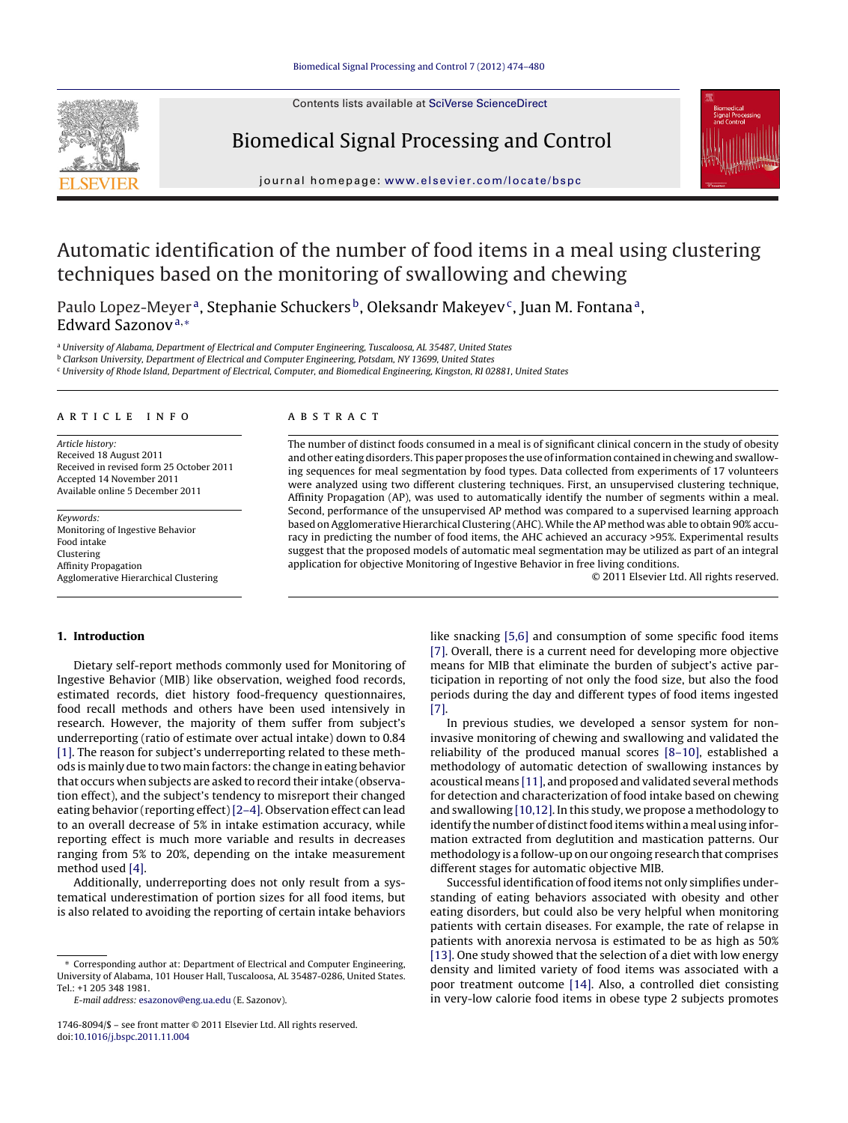Contents lists available at SciVerse [ScienceDirect](http://www.sciencedirect.com/science/journal/17468094)



# Biomedical Signal Processing and Control



iournal homepage: [www.elsevier.com/locate/bspc](http://www.elsevier.com/locate/bspc)

# Automatic identification of the number of food items in a meal using clustering techniques based on the monitoring of swallowing and chewing

Paulo Lopez-Meyer<sup>a</sup>, Stephanie Schuckers<sup>b</sup>, Oleksandr Makeyev<sup>c</sup>, Juan M. Fontana<sup>a</sup>, Edward Sazonov<sup>a</sup>,<sup>∗</sup>

<sup>a</sup> University of Alabama, Department of Electrical and Computer Engineering, Tuscaloosa, AL 35487, United States

<sup>b</sup> Clarkson University, Department of Electrical and Computer Engineering, Potsdam, NY 13699, United States

<sup>c</sup> University of Rhode Island, Department of Electrical, Computer, and Biomedical Engineering, Kingston, RI 02881, United States

# a r t i c l e i n f o

Article history: Received 18 August 2011 Received in revised form 25 October 2011 Accepted 14 November 2011 Available online 5 December 2011

Keywords: Monitoring of Ingestive Behavior Food intake Clustering Affinity Propagation Agglomerative Hierarchical Clustering

### A B S T R A C T

The number of distinct foods consumed in a meal is of significant clinical concern in the study of obesity and other eating disorders. This paper proposes the use ofinformation contained in chewing and swallowing sequences for meal segmentation by food types. Data collected from experiments of 17 volunteers were analyzed using two different clustering techniques. First, an unsupervised clustering technique, Affinity Propagation (AP), was used to automatically identify the number of segments within a meal. Second, performance of the unsupervised AP method was compared to a supervised learning approach based on Agglomerative Hierarchical Clustering (AHC). While the AP method was able to obtain 90% accuracy in predicting the number of food items, the AHC achieved an accuracy >95%. Experimental results suggest that the proposed models of automatic meal segmentation may be utilized as part of an integral application for objective Monitoring of Ingestive Behavior in free living conditions.

© 2011 Elsevier Ltd. All rights reserved.

# **1. Introduction**

Dietary self-report methods commonly used for Monitoring of Ingestive Behavior (MIB) like observation, weighed food records, estimated records, diet history food-frequency questionnaires, food recall methods and others have been used intensively in research. However, the majority of them suffer from subject's underreporting (ratio of estimate over actual intake) down to 0.84 [\[1\].](#page-5-0) The reason for subject's underreporting related to these methods is mainly due to two main factors: the change in eating behavior that occurs when subjects are asked to record their intake (observation effect), and the subject's tendency to misreport their changed eating behavior (reporting effect)[\[2–4\].](#page-5-0) Observation effect can lead to an overall decrease of 5% in intake estimation accuracy, while reporting effect is much more variable and results in decreases ranging from 5% to 20%, depending on the intake measurement method used [\[4\].](#page-5-0)

Additionally, underreporting does not only result from a systematical underestimation of portion sizes for all food items, but is also related to avoiding the reporting of certain intake behaviors

E-mail address: [esazonov@eng.ua.edu](mailto:esazonov@eng.ua.edu) (E. Sazonov).

like snacking [\[5,6\]](#page-5-0) and consumption of some specific food items [\[7\].](#page-5-0) Overall, there is a current need for developing more objective means for MIB that eliminate the burden of subject's active participation in reporting of not only the food size, but also the food periods during the day and different types of food items ingested [\[7\].](#page-5-0)

In previous studies, we developed a sensor system for noninvasive monitoring of chewing and swallowing and validated the reliability of the produced manual scores [\[8–10\],](#page-5-0) established a methodology of automatic detection of swallowing instances by acoustical means [\[11\],](#page-5-0) and proposed and validated several methods for detection and characterization of food intake based on chewing and swallowing [\[10,12\].](#page-5-0) In this study, we propose a methodology to identify the number of distinct food items within a meal using information extracted from deglutition and mastication patterns. Our methodology is a follow-up on our ongoing research that comprises different stages for automatic objective MIB.

Successful identification of food items not only simplifies understanding of eating behaviors associated with obesity and other eating disorders, but could also be very helpful when monitoring patients with certain diseases. For example, the rate of relapse in patients with anorexia nervosa is estimated to be as high as 50% [\[13\].](#page-5-0) One study showed that the selection of a diet with low energy density and limited variety of food items was associated with a poor treatment outcome [\[14\].](#page-5-0) Also, a controlled diet consisting in very-low calorie food items in obese type 2 subjects promotes

<sup>∗</sup> Corresponding author at: Department of Electrical and Computer Engineering, University of Alabama, 101 Houser Hall, Tuscaloosa, AL 35487-0286, United States. Tel.: +1 205 348 1981.

<sup>1746-8094/\$</sup> – see front matter © 2011 Elsevier Ltd. All rights reserved. doi:[10.1016/j.bspc.2011.11.004](dx.doi.org/10.1016/j.bspc.2011.11.004)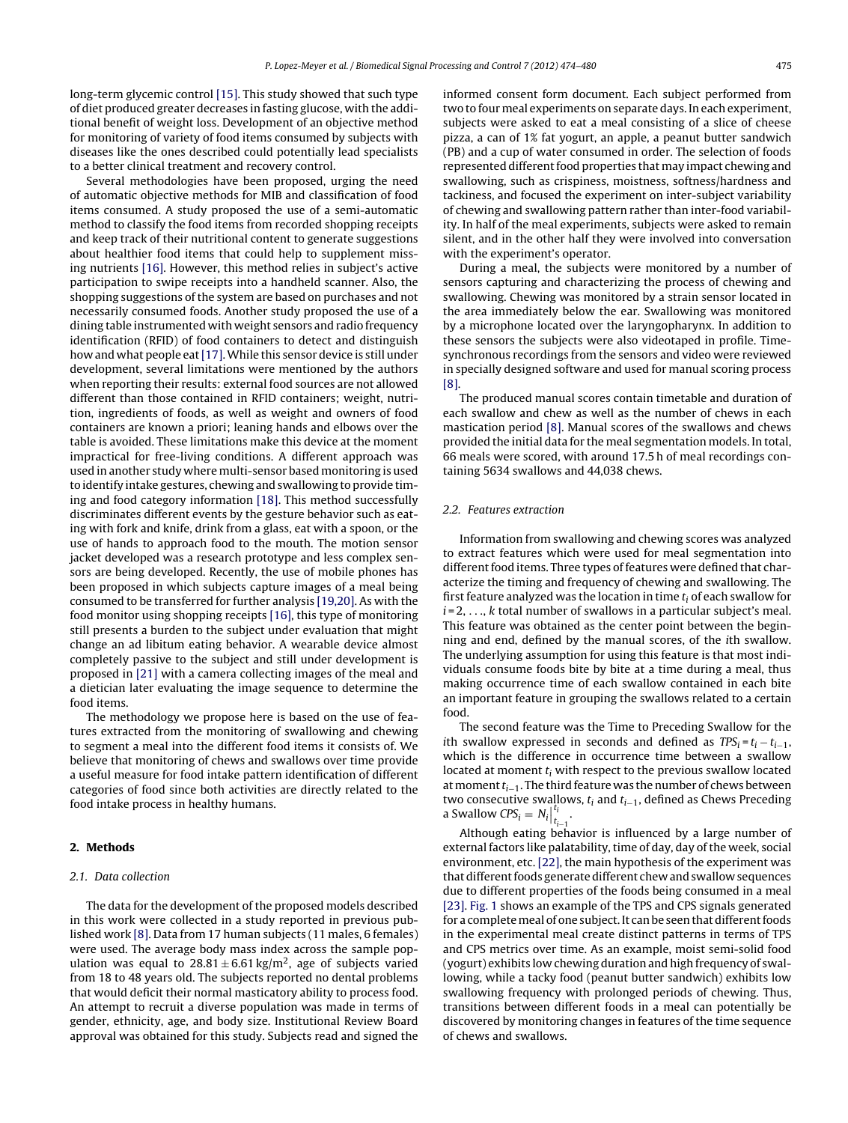<span id="page-1-0"></span>long-term glycemic control [\[15\].](#page-5-0) This study showed that such type of diet produced greater decreases in fasting glucose, with the additional benefit of weight loss. Development of an objective method for monitoring of variety of food items consumed by subjects with diseases like the ones described could potentially lead specialists to a better clinical treatment and recovery control.

Several methodologies have been proposed, urging the need of automatic objective methods for MIB and classification of food items consumed. A study proposed the use of a semi-automatic method to classify the food items from recorded shopping receipts and keep track of their nutritional content to generate suggestions about healthier food items that could help to supplement missing nutrients [\[16\].](#page-5-0) However, this method relies in subject's active participation to swipe receipts into a handheld scanner. Also, the shopping suggestions of the system are based on purchases and not necessarily consumed foods. Another study proposed the use of a dining table instrumented with weight sensors and radio frequency identification (RFID) of food containers to detect and distinguish how and what people eat [17]. While this sensor device is still under development, several limitations were mentioned by the authors when reporting their results: external food sources are not allowed different than those contained in RFID containers; weight, nutrition, ingredients of foods, as well as weight and owners of food containers are known a priori; leaning hands and elbows over the table is avoided. These limitations make this device at the moment impractical for free-living conditions. A different approach was used in another study where multi-sensor based monitoring is used to identify intake gestures, chewing and swallowing to provide timing and food category information [\[18\].](#page-5-0) This method successfully discriminates different events by the gesture behavior such as eating with fork and knife, drink from a glass, eat with a spoon, or the use of hands to approach food to the mouth. The motion sensor jacket developed was a research prototype and less complex sensors are being developed. Recently, the use of mobile phones has been proposed in which subjects capture images of a meal being consumed to be transferred for further analysis [\[19,20\].](#page-5-0) As with the food monitor using shopping receipts [\[16\],](#page-5-0) this type of monitoring still presents a burden to the subject under evaluation that might change an ad libitum eating behavior. A wearable device almost completely passive to the subject and still under development is proposed in [\[21\]](#page-6-0) with a camera collecting images of the meal and a dietician later evaluating the image sequence to determine the food items.

The methodology we propose here is based on the use of features extracted from the monitoring of swallowing and chewing to segment a meal into the different food items it consists of. We believe that monitoring of chews and swallows over time provide a useful measure for food intake pattern identification of different categories of food since both activities are directly related to the food intake process in healthy humans.

# **2. Methods**

## 2.1. Data collection

The data for the development of the proposed models described in this work were collected in a study reported in previous published work [\[8\].](#page-5-0) Data from 17 human subjects (11 males, 6 females) were used. The average body mass index across the sample population was equal to  $28.81 \pm 6.61 \text{ kg/m}^2$ , age of subjects varied from 18 to 48 years old. The subjects reported no dental problems that would deficit their normal masticatory ability to process food. An attempt to recruit a diverse population was made in terms of gender, ethnicity, age, and body size. Institutional Review Board approval was obtained for this study. Subjects read and signed the informed consent form document. Each subject performed from two to four meal experiments on separate days. In each experiment, subjects were asked to eat a meal consisting of a slice of cheese pizza, a can of 1% fat yogurt, an apple, a peanut butter sandwich (PB) and a cup of water consumed in order. The selection of foods represented different food properties that may impact chewing and swallowing, such as crispiness, moistness, softness/hardness and tackiness, and focused the experiment on inter-subject variability of chewing and swallowing pattern rather than inter-food variability. In half of the meal experiments, subjects were asked to remain silent, and in the other half they were involved into conversation with the experiment's operator.

During a meal, the subjects were monitored by a number of sensors capturing and characterizing the process of chewing and swallowing. Chewing was monitored by a strain sensor located in the area immediately below the ear. Swallowing was monitored by a microphone located over the laryngopharynx. In addition to these sensors the subjects were also videotaped in profile. Timesynchronous recordings from the sensors and video were reviewed in specially designed software and used for manual scoring process [\[8\].](#page-5-0)

The produced manual scores contain timetable and duration of each swallow and chew as well as the number of chews in each mastication period [\[8\].](#page-5-0) Manual scores of the swallows and chews provided the initial data for the meal segmentation models. In total, 66 meals were scored, with around 17.5 h of meal recordings containing 5634 swallows and 44,038 chews.

# 2.2. Features extraction

Information from swallowing and chewing scores was analyzed to extract features which were used for meal segmentation into different food items. Three types of features were defined that characterize the timing and frequency of chewing and swallowing. The first feature analyzed was the location in time  $t_i$  of each swallow for  $i = 2, \ldots, k$  total number of swallows in a particular subject's meal. This feature was obtained as the center point between the beginning and end, defined by the manual scores, of the ith swallow. The underlying assumption for using this feature is that most individuals consume foods bite by bite at a time during a meal, thus making occurrence time of each swallow contained in each bite an important feature in grouping the swallows related to a certain food.

The second feature was the Time to Preceding Swallow for the ith swallow expressed in seconds and defined as  $TPS_i = t_i - t_{i-1}$ , which is the difference in occurrence time between a swallow located at moment  $t_i$  with respect to the previous swallow located at moment  $t_{i-1}$ . The third feature was the number of chews between two consecutive swallows,  $t_i$  and  $t_{i-1}$ , defined as Chews Preceding a Swallow  $CPS_i = N_i\Big|_{t_i}^{t_i}$  $t_{i-1}$ <sup>.</sup>

Although eating behavior is influenced by a large number of external factors like palatability, time of day, day of the week, social environment, etc. [\[22\],](#page-6-0) the main hypothesis of the experiment was that different foods generate different chew and swallow sequences due to different properties of the foods being consumed in a meal [\[23\].](#page-6-0) [Fig.](#page-2-0) 1 shows an example of the TPS and CPS signals generated for a complete meal of one subject. It can be seen that different foods in the experimental meal create distinct patterns in terms of TPS and CPS metrics over time. As an example, moist semi-solid food (yogurt) exhibits low chewing duration and high frequency of swallowing, while a tacky food (peanut butter sandwich) exhibits low swallowing frequency with prolonged periods of chewing. Thus, transitions between different foods in a meal can potentially be discovered by monitoring changes in features of the time sequence of chews and swallows.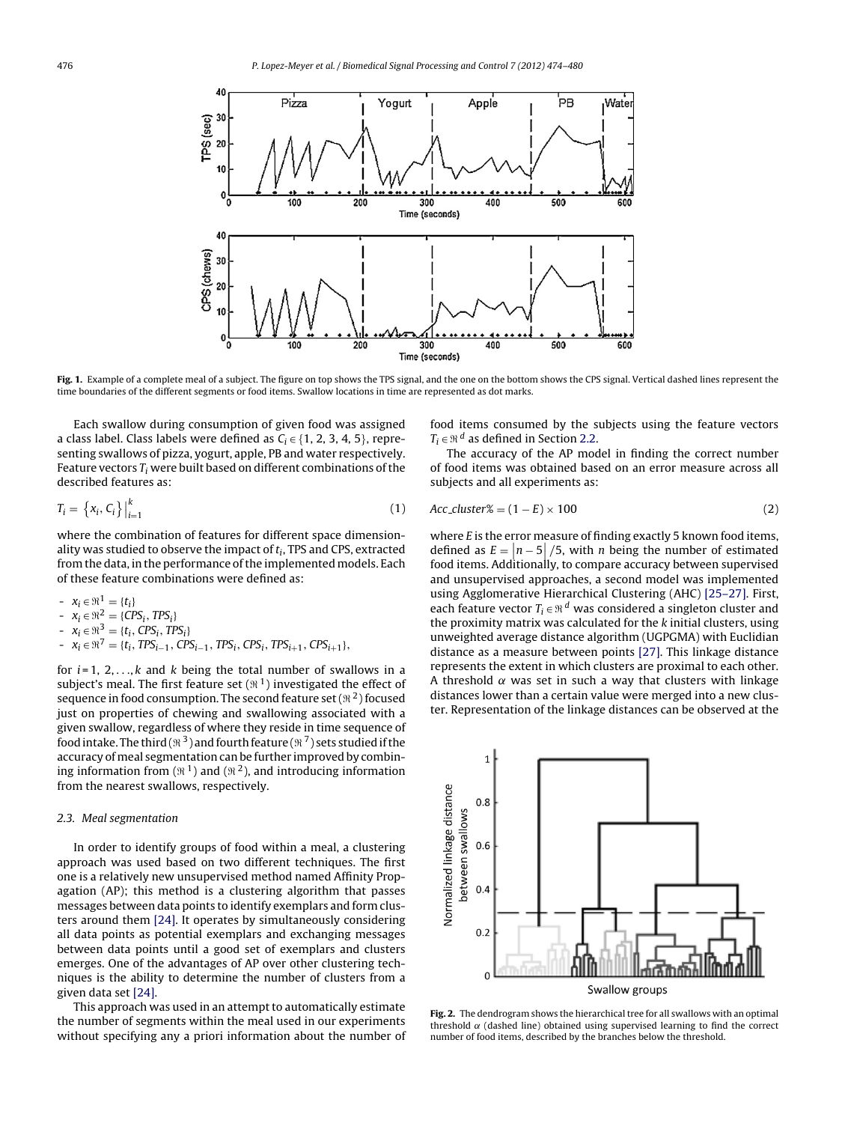<span id="page-2-0"></span>

Fig. 1. Example of a complete meal of a subject. The figure on top shows the TPS signal, and the one on the bottom shows the CPS signal. Vertical dashed lines represent the time boundaries of the different segments or food items. Swallow locations in time are represented as dot marks.

Each swallow during consumption of given food was assigned a class label. Class labels were defined as  $C_i \in \{1, 2, 3, 4, 5\}$ , representing swallows of pizza, yogurt, apple, PB and water respectively. Feature vectors  $T_i$  were built based on different combinations of the described features as:

$$
T_i = \left\{ x_i, C_i \right\} \Big|_{i=1}^k \tag{1}
$$

where the combination of features for different space dimensionality was studied to observe the impact of  $t_i$ , TPS and CPS, extracted from the data, in the performance of the implemented models. Each of these feature combinations were defined as:

$$
-x_i \in \Re^1 = \{t_i\}
$$

- $x_i \in \Re^2 = \{CPS_i, TPS_i\}$
- $x_i \in \Re^3 = \{t_i, CPS_i, TPS_i\}$
- $x_i \in \mathbb{R}^7 = \{t_i, TPS_{i-1}, CPS_{i-1}, TPS_i, CPS_i, TPS_{i+1}, CPS_{i+1}\},$

for  $i = 1, 2, \ldots, k$  and k being the total number of swallows in a subject's meal. The first feature set  $(\Re^1)$  investigated the effect of sequence in food consumption. The second feature set  $(\Re^2)$  focused just on properties of chewing and swallowing associated with a given swallow, regardless of where they reside in time sequence of food intake. The third ( $\Re^3$ ) and fourth feature ( $\Re^7$ ) sets studied if the accuracy of meal segmentation can be further improved by combining information from  $(\Re^1)$  and  $(\Re^2)$ , and introducing information from the nearest swallows, respectively.

### 2.3. Meal segmentation

In order to identify groups of food within a meal, a clustering approach was used based on two different techniques. The first one is a relatively new unsupervised method named Affinity Propagation (AP); this method is a clustering algorithm that passes messages between data points to identify exemplars and form clusters around them [\[24\].](#page-6-0) It operates by simultaneously considering all data points as potential exemplars and exchanging messages between data points until a good set of exemplars and clusters emerges. One of the advantages of AP over other clustering techniques is the ability to determine the number of clusters from a given data set [\[24\].](#page-6-0)

This approach was used in an attempt to automatically estimate the number of segments within the meal used in our experiments without specifying any a priori information about the number of food items consumed by the subjects using the feature vectors  $T_i \in \Re^d$  as defined in Section [2.2.](#page-1-0)

The accuracy of the AP model in finding the correct number of food items was obtained based on an error measure across all subjects and all experiments as:

$$
Acc\_cluster\% = (1 - E) \times 100\tag{2}
$$

where  $E$  is the error measure of finding exactly 5 known food items, defined as  $E = |n-5|/5$ , with *n* being the number of estimated  $\lim_{n \to \infty} \frac{d}{dx} \frac{d}{dx} = \frac{1}{2}$ , with *n* being the number of estimated food items. Additionally, to compare accuracy between supervised and unsupervised approaches, a second model was implemented using Agglomerative Hierarchical Clustering (AHC) [\[25–27\].](#page-6-0) First, each feature vector  $T_i \in \Re^d$  was considered a singleton cluster and the proximity matrix was calculated for the  $k$  initial clusters, using unweighted average distance algorithm (UGPGMA) with Euclidian distance as a measure between points [\[27\].](#page-6-0) This linkage distance represents the extent in which clusters are proximal to each other. A threshold  $\alpha$  was set in such a way that clusters with linkage distances lower than a certain value were merged into a new cluster. Representation of the linkage distances can be observed at the



Fig. 2. The dendrogram shows the hierarchical tree for all swallows with an optimal threshold  $\alpha$  (dashed line) obtained using supervised learning to find the correct number of food items, described by the branches below the threshold.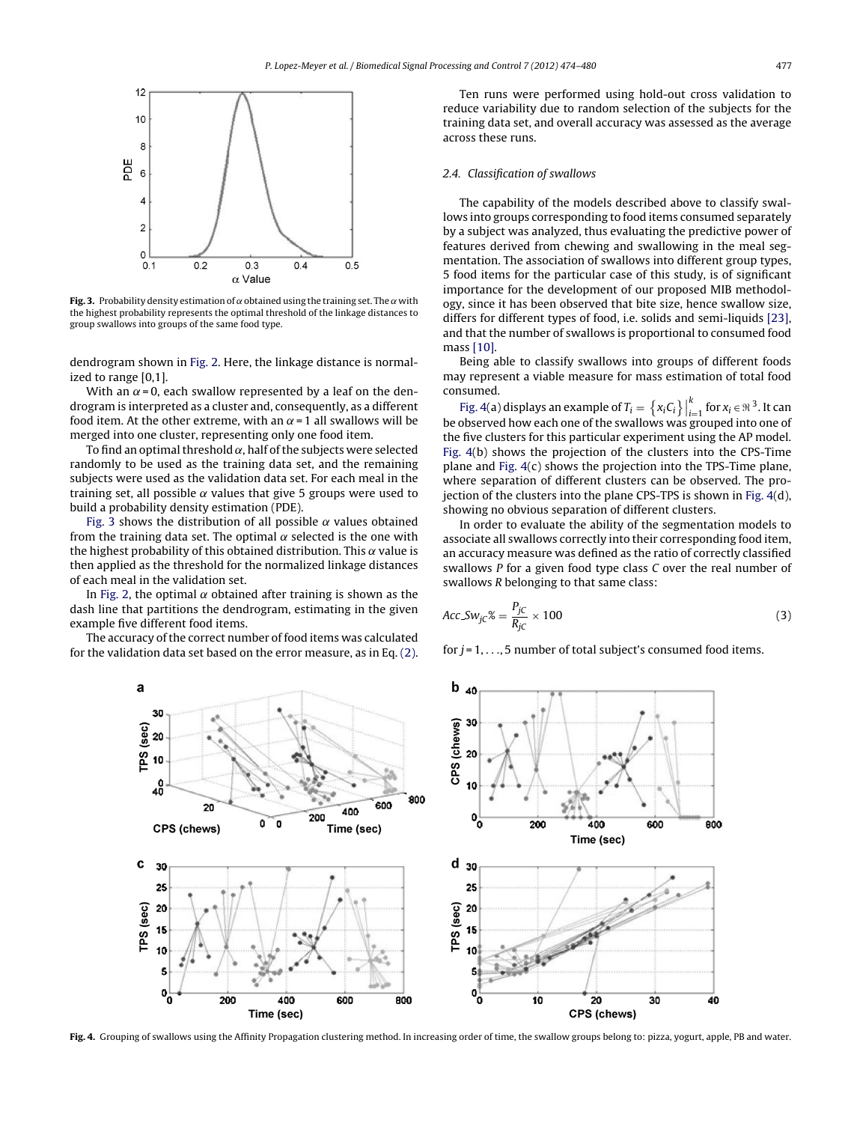<span id="page-3-0"></span>

Fig. 3. Probability density estimation of  $\alpha$  obtained using the training set. The  $\alpha$  with the highest probability represents the optimal threshold of the linkage distances to group swallows into groups of the same food type.

dendrogram shown in [Fig.](#page-2-0) 2. Here, the linkage distance is normalized to range [0,1].

With an  $\alpha$  = 0, each swallow represented by a leaf on the dendrogram is interpreted as a cluster and, consequently, as a different food item. At the other extreme, with an  $\alpha$  = 1 all swallows will be merged into one cluster, representing only one food item.

To find an optimal threshold  $\alpha$ , half of the subjects were selected randomly to be used as the training data set, and the remaining subjects were used as the validation data set. For each meal in the training set, all possible  $\alpha$  values that give 5 groups were used to build a probability density estimation (PDE).

Fig. 3 shows the distribution of all possible  $\alpha$  values obtained from the training data set. The optimal  $\alpha$  selected is the one with the highest probability of this obtained distribution. This  $\alpha$  value is then applied as the threshold for the normalized linkage distances of each meal in the validation set.

In [Fig.](#page-2-0) 2, the optimal  $\alpha$  obtained after training is shown as the dash line that partitions the dendrogram, estimating in the given example five different food items.

The accuracy of the correct number of food items was calculated for the validation data set based on the error measure, as in Eq. [\(2\).](#page-2-0)

Ten runs were performed using hold-out cross validation to reduce variability due to random selection of the subjects for the training data set, and overall accuracy was assessed as the average across these runs.

# 2.4. Classification of swallows

The capability of the models described above to classify swallows into groups corresponding to food items consumed separately by a subject was analyzed, thus evaluating the predictive power of features derived from chewing and swallowing in the meal segmentation. The association of swallows into different group types, 5 food items for the particular case of this study, is of significant importance for the development of our proposed MIB methodology, since it has been observed that bite size, hence swallow size, differs for different types of food, i.e. solids and semi-liquids [\[23\],](#page-6-0) and that the number of swallows is proportional to consumed food mass [\[10\].](#page-5-0)

Being able to classify swallows into groups of different foods may represent a viable measure for mass estimation of total food consumed.

Fig. 4(a) displays an example of  $T_i = \left\{ x_i C_i \right\} \Big|_{i=1}^k$  for  $x_i \in \Re^3$ . It can be observed how each one of the swallows was grouped into one of the five clusters for this particular experiment using the AP model. Fig. 4(b) shows the projection of the clusters into the CPS-Time plane and Fig. 4(c) shows the projection into the TPS-Time plane, where separation of different clusters can be observed. The projection of the clusters into the plane CPS-TPS is shown in Fig. 4(d), showing no obvious separation of different clusters.

In order to evaluate the ability of the segmentation models to associate all swallows correctly into their corresponding food item, an accuracy measure was defined as the ratio of correctly classified swallows P for a given food type class C over the real number of swallows R belonging to that same class:

$$
Acc\_Sw_{jC} \mathscr{E} = \frac{P_{jC}}{R_{jC}} \times 100
$$
 (3)

for  $j = 1, \ldots, 5$  number of total subject's consumed food items.



**Fig. 4.** Grouping of swallows using the Affinity Propagation clustering method. In increasing order of time, the swallow groups belong to: pizza, yogurt, apple, PB and water.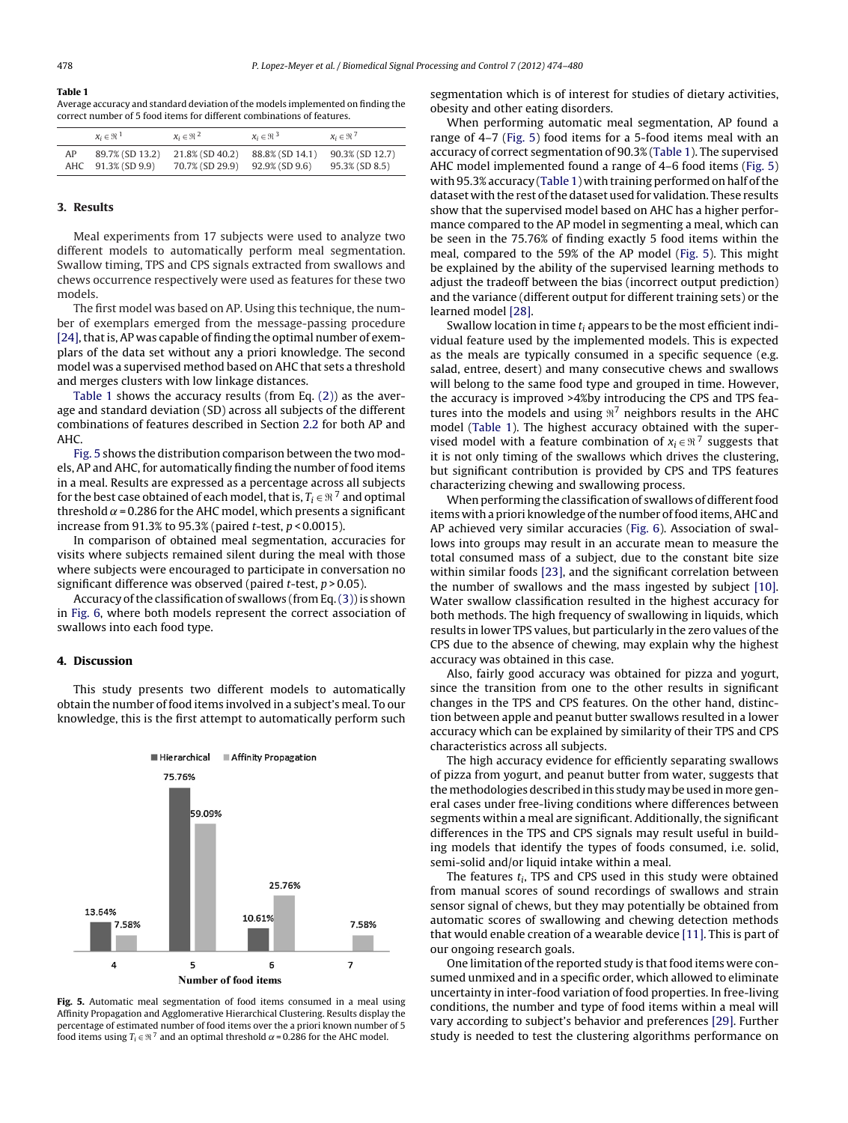#### **Table 1** Average accuracy and standard deviation of the models implemented on finding the

correct number of 5 food items for different combinations of features.

|    | $\chi_i \in \mathfrak{R}^{-1}$ | $x_i \in \Re^2$ | $X_i \in \mathbb{R}^3$ | $X_i \in \mathfrak{R}^7$ |
|----|--------------------------------|-----------------|------------------------|--------------------------|
| AP | 89.7% (SD 13.2)                | 21.8% (SD 40.2) | 88.8% (SD 14.1)        | $90.3\%$ (SD 12.7)       |
|    | AHC 91.3% (SD 9.9)             | 70.7% (SD 29.9) | 92.9% (SD 9.6)         | $95.3\%$ (SD 8.5)        |

#### **3. Results**

Meal experiments from 17 subjects were used to analyze two different models to automatically perform meal segmentation. Swallow timing, TPS and CPS signals extracted from swallows and chews occurrence respectively were used as features for these two models.

The first model was based on AP. Using this technique, the number of exemplars emerged from the message-passing procedure [24], that is, AP was capable of finding the optimal number of exemplars of the data set without any a priori knowledge. The second model was a supervised method based on AHC that sets a threshold and merges clusters with low linkage distances.

Table 1 shows the accuracy results (from Eq. [\(2\)\)](#page-2-0) as the average and standard deviation (SD) across all subjects of the different combinations of features described in Section [2.2](#page-1-0) for both AP and AHC.

Fig. 5 shows the distribution comparison between the two models, AP and AHC, for automatically finding the number of food items in a meal. Results are expressed as a percentage across all subjects for the best case obtained of each model, that is,  $T_i \in \mathbb{R}^7$  and optimal threshold  $\alpha$  = 0.286 for the AHC model, which presents a significant increase from 91.3% to 95.3% (paired *t*-test,  $p < 0.0015$ ).

In comparison of obtained meal segmentation, accuracies for visits where subjects remained silent during the meal with those where subjects were encouraged to participate in conversation no significant difference was observed (paired *t*-test,  $p > 0.05$ ).

Accuracy of the classification of swallows (from Eq.  $(3)$ ) is shown in [Fig.](#page-5-0) 6, where both models represent the correct association of swallows into each food type.

# **4. Discussion**

This study presents two different models to automatically obtain the number of food items involved in a subject's meal. To our knowledge, this is the first attempt to automatically perform such



**Fig. 5.** Automatic meal segmentation of food items consumed in a meal using Affinity Propagation and Agglomerative Hierarchical Clustering. Results display the percentage of estimated number of food items over the a priori known number of 5 food items using  $T_i \in \mathbb{R}^7$  and an optimal threshold  $\alpha$  = 0.286 for the AHC model.

segmentation which is of interest for studies of dietary activities, obesity and other eating disorders.

When performing automatic meal segmentation, AP found a range of 4–7 (Fig. 5) food items for a 5-food items meal with an accuracy of correct segmentation of 90.3% (Table 1). The supervised AHC model implemented found a range of 4–6 food items (Fig. 5) with 95.3% accuracy (Table 1) with training performed on half of the dataset with the rest of the dataset used for validation. These results show that the supervised model based on AHC has a higher performance compared to the AP model in segmenting a meal, which can be seen in the 75.76% of finding exactly 5 food items within the meal, compared to the 59% of the AP model (Fig. 5). This might be explained by the ability of the supervised learning methods to adjust the tradeoff between the bias (incorrect output prediction) and the variance (different output for different training sets) or the learned model [\[28\].](#page-6-0)

Swallow location in time  $t_i$  appears to be the most efficient individual feature used by the implemented models. This is expected as the meals are typically consumed in a specific sequence (e.g. salad, entree, desert) and many consecutive chews and swallows will belong to the same food type and grouped in time. However, the accuracy is improved >4%by introducing the CPS and TPS features into the models and using  $\mathbb{R}^7$  neighbors results in the AHC model (Table 1). The highest accuracy obtained with the supervised model with a feature combination of  $x_i \in \Re^7$  suggests that it is not only timing of the swallows which drives the clustering, but significant contribution is provided by CPS and TPS features characterizing chewing and swallowing process.

When performing the classification of swallows of different food items with a priori knowledge of the number of food items, AHC and AP achieved very similar accuracies ([Fig.](#page-5-0) 6). Association of swallows into groups may result in an accurate mean to measure the total consumed mass of a subject, due to the constant bite size within similar foods [\[23\],](#page-6-0) and the significant correlation between the number of swallows and the mass ingested by subject [\[10\].](#page-5-0) Water swallow classification resulted in the highest accuracy for both methods. The high frequency of swallowing in liquids, which results in lower TPS values, but particularly in the zero values ofthe CPS due to the absence of chewing, may explain why the highest accuracy was obtained in this case.

Also, fairly good accuracy was obtained for pizza and yogurt, since the transition from one to the other results in significant changes in the TPS and CPS features. On the other hand, distinction between apple and peanut butter swallows resulted in a lower accuracy which can be explained by similarity of their TPS and CPS characteristics across all subjects.

The high accuracy evidence for efficiently separating swallows of pizza from yogurt, and peanut butter from water, suggests that the methodologies described in this study may be used in more general cases under free-living conditions where differences between segments within a meal are significant. Additionally, the significant differences in the TPS and CPS signals may result useful in building models that identify the types of foods consumed, i.e. solid, semi-solid and/or liquid intake within a meal.

The features  $t_i$ , TPS and CPS used in this study were obtained from manual scores of sound recordings of swallows and strain sensor signal of chews, but they may potentially be obtained from automatic scores of swallowing and chewing detection methods that would enable creation of a wearable device [\[11\].](#page-5-0) This is part of our ongoing research goals.

One limitation of the reported study is that food items were consumed unmixed and in a specific order, which allowed to eliminate uncertainty in inter-food variation of food properties. In free-living conditions, the number and type of food items within a meal will vary according to subject's behavior and preferences [\[29\].](#page-6-0) Further study is needed to test the clustering algorithms performance on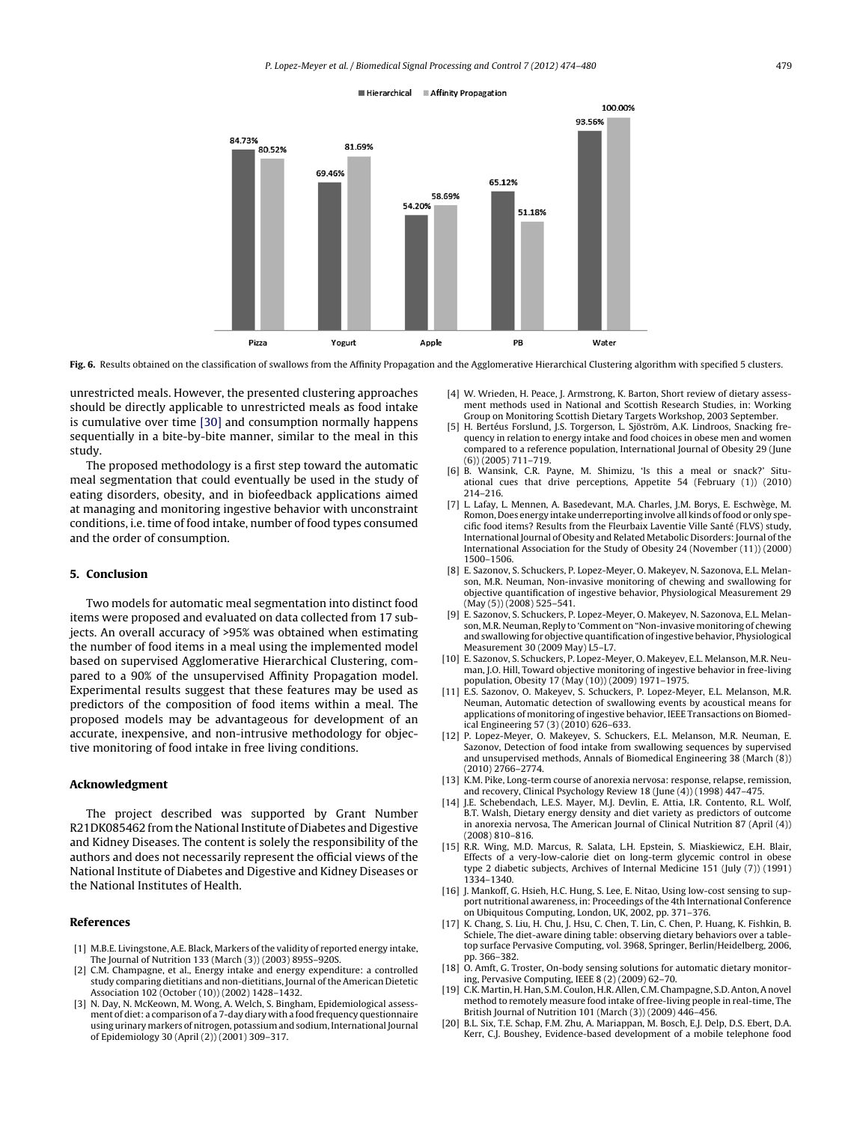#### Hierarchical **Affinity Propagation**

<span id="page-5-0"></span>

Fig. 6. Results obtained on the classification of swallows from the Affinity Propagation and the Agglomerative Hierarchical Clustering algorithm with specified 5 clusters.

unrestricted meals. However, the presented clustering approaches should be directly applicable to unrestricted meals as food intake is cumulative over time [\[30\]](#page-6-0) and consumption normally happens sequentially in a bite-by-bite manner, similar to the meal in this study.

The proposed methodology is a first step toward the automatic meal segmentation that could eventually be used in the study of eating disorders, obesity, and in biofeedback applications aimed at managing and monitoring ingestive behavior with unconstraint conditions, i.e. time of food intake, number of food types consumed and the order of consumption.

## **5. Conclusion**

Two models for automatic meal segmentation into distinct food items were proposed and evaluated on data collected from 17 subjects. An overall accuracy of >95% was obtained when estimating the number of food items in a meal using the implemented model based on supervised Agglomerative Hierarchical Clustering, compared to a 90% of the unsupervised Affinity Propagation model. Experimental results suggest that these features may be used as predictors of the composition of food items within a meal. The proposed models may be advantageous for development of an accurate, inexpensive, and non-intrusive methodology for objective monitoring of food intake in free living conditions.

## **Acknowledgment**

The project described was supported by Grant Number R21DK085462 from the National Institute of Diabetes and Digestive and Kidney Diseases. The content is solely the responsibility of the authors and does not necessarily represent the official views of the National Institute of Diabetes and Digestive and Kidney Diseases or the National Institutes of Health.

#### **References**

- [1] M.B.E. Livingstone, A.E. Black, Markers of the validity of reported energy intake, The Journal of Nutrition 133 (March (3)) (2003) 895S–920S.
- C.M. Champagne, et al., Energy intake and energy expenditure: a controlled study comparing dietitians and non-dietitians, Journal ofthe American Dietetic Association 102 (October (10)) (2002) 1428–1432.
- [3] N. Day, N. McKeown, M. Wong, A. Welch, S. Bingham, Epidemiological assessment of diet: a comparison of a 7-day diary with a food frequency questionnaire using urinary markers of nitrogen, potassium and sodium, International Journal of Epidemiology 30 (April (2)) (2001) 309–317.
- [4] W. Wrieden, H. Peace, J. Armstrong, K. Barton, Short review of dietary assessment methods used in National and Scottish Research Studies, in: Working Group on Monitoring Scottish Dietary Targets Workshop, 2003 September.
- [5] H. Bertéus Forslund, J.S. Torgerson, L. Sjöström, A.K. Lindroos, Snacking frequency in relation to energy intake and food choices in obese men and women compared to a reference population, International Journal of Obesity 29 (June (6)) (2005) 711–719.
- [6] B. Wansink, C.R. Payne, M. Shimizu, 'Is this a meal or snack?' Situational cues that drive perceptions, Appetite 54 (February (1)) (2010) 214–216.
- [7] L. Lafay, L. Mennen, A. Basedevant, M.A. Charles, J.M. Borys, E. Eschwège, M. Romon, Does energy intake underreporting involve all kinds of food or only specific food items? Results from the Fleurbaix Laventie Ville Santé (FLVS) study, International Journal of Obesity and Related Metabolic Disorders: Journal of the International Association for the Study of Obesity 24 (November (11)) (2000) 1500–1506.
- [8] E. Sazonov, S. Schuckers, P. Lopez-Meyer, O. Makeyev, N. Sazonova, E.L. Melanson, M.R. Neuman, Non-invasive monitoring of chewing and swallowing for objective quantification of ingestive behavior, Physiological Measurement 29 (May (5)) (2008) 525-541.
- [9] E. Sazonov, S. Schuckers, P. Lopez-Meyer, O. Makeyev, N. Sazonova, E.L. Melanson, M.R. Neuman, Reply to 'Comment on "Non-invasive monitoring of chewing and swallowing for objective quantification ofingestive behavior, Physiological Measurement 30 (2009 May) L5–L7.
- [10] E. Sazonov, S. Schuckers, P. Lopez-Meyer, O. Makeyev, E.L. Melanson, M.R. Neuman, J.O. Hill, Toward objective monitoring of ingestive behavior in free-living population, Obesity 17 (May (10)) (2009) 1971–1975.
- [11] E.S. Sazonov, O. Makeyev, S. Schuckers, P. Lopez-Meyer, E.L. Melanson, M.R. Neuman, Automatic detection of swallowing events by acoustical means for applications of monitoring of ingestive behavior, IEEE Transactions on Biomedical Engineering 57 (3) (2010) 626–633.
- [12] P. Lopez-Meyer, O. Makeyev, S. Schuckers, E.L. Melanson, M.R. Neuman, E. Sazonov, Detection of food intake from swallowing sequences by supervised and unsupervised methods, Annals of Biomedical Engineering 38 (March (8)) (2010) 2766–2774.
- [13] K.M. Pike, Long-term course of anorexia nervosa: response, relapse, remission, and recovery, Clinical Psychology Review 18 (June (4)) (1998) 447–475.
- [14] J.E. Schebendach, L.E.S. Mayer, M.J. Devlin, E. Attia, I.R. Contento, R.L. Wolf, B.T. Walsh, Dietary energy density and diet variety as predictors of outcome in anorexia nervosa, The American Journal of Clinical Nutrition 87 (April (4)) (2008) 810–816.
- [15] R.R. Wing, M.D. Marcus, R. Salata, L.H. Epstein, S. Miaskiewicz, E.H. Blair, Effects of a very-low-calorie diet on long-term glycemic control in obese type 2 diabetic subjects, Archives of Internal Medicine 151 (July (7)) (1991) 1334–1340.
- [16] J. Mankoff, G. Hsieh, H.C. Hung, S. Lee, E. Nitao, Using low-cost sensing to support nutritional awareness, in: Proceedings of the 4th International Conference on Ubiquitous Computing, London, UK, 2002, pp. 371–376.
- [17] K. Chang, S. Liu, H. Chu, J. Hsu, C. Chen, T. Lin, C. Chen, P. Huang, K. Fishkin, B. Schiele, The diet-aware dining table: observing dietary behaviors over a tabletop surface Pervasive Computing, vol. 3968, Springer, Berlin/Heidelberg, 2006, pp. 366–382.
- [18] O. Amft, G. Troster, On-body sensing solutions for automatic dietary monitoring, Pervasive Computing, IEEE 8 (2) (2009) 62–70.
- [19] C.K. Martin, H. Han, S.M. Coulon, H.R. Allen, C.M. Champagne, S.D. Anton, Anovel method to remotely measure food intake of free-living people in real-time, The British Journal of Nutrition 101 (March (3)) (2009) 446–456.
- [20] B.L. Six, T.E. Schap, F.M. Zhu, A. Mariappan, M. Bosch, E.J. Delp, D.S. Ebert, D.A. Kerr, C.J. Boushey, Evidence-based development of a mobile telephone food